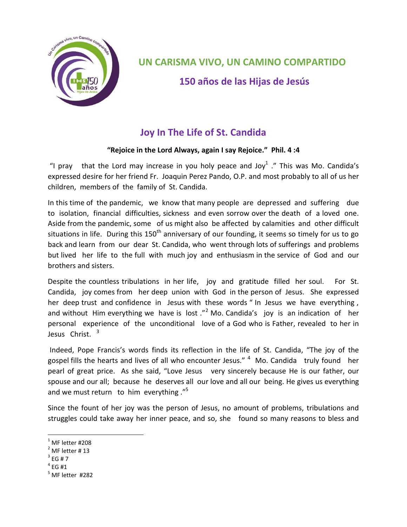

## **UN CARISMA VIVO, UN CAMINO COMPARTIDO**

**150 años de las Hijas de Jesús**

## **Joy In The Life of St. Candida**

## **"Rejoice in the Lord Always, again I say Rejoice." Phil. 4 :4**

"I pray that the Lord may increase in you holy peace and Joy<sup>1</sup>." This was Mo. Candida's expressed desire for her friend Fr. Joaquin Perez Pando, O.P. and most probably to all of us her children, members of the family of St. Candida.

In this time of the pandemic, we know that many people are depressed and suffering due to isolation, financial difficulties, sickness and even sorrow over the death of a loved one. Aside from the pandemic, some of us might also be affected by calamities and other difficult situations in life. During this  $150<sup>th</sup>$  anniversary of our founding, it seems so timely for us to go back and learn from our dear St. Candida, who went through lots of sufferings and problems but lived her life to the full with much joy and enthusiasm in the service of God and our brothers and sisters.

Despite the countless tribulations in her life, joy and gratitude filled her soul. For St. Candida, joy comes from her deep union with God in the person of Jesus. She expressed her deep trust and confidence in Jesus with these words " In Jesus we have everything , and without Him everything we have is lost  $.^{n^2}$  Mo. Candida's joy is an indication of her personal experience of the unconditional love of a God who is Father, revealed to her in Jesus Christ.<sup>3</sup>

Indeed, Pope Francis's words finds its reflection in the life of St. Candida, "The joy of the gospel fills the hearts and lives of all who encounter Jesus." <sup>4</sup> Mo. Candida truly found her pearl of great price. As she said, "Love Jesus very sincerely because He is our father, our spouse and our all; because he deserves all our love and all our being. He gives us everything and we must return to him everything."<sup>5</sup>

Since the fount of her joy was the person of Jesus, no amount of problems, tribulations and struggles could take away her inner peace, and so, she found so many reasons to bless and

 $4$  EG #1

l

 $^{1}$  MF letter #208

 $<sup>2</sup>$  MF letter #13</sup>

 $3$  EG # 7

 $^5$  MF letter #282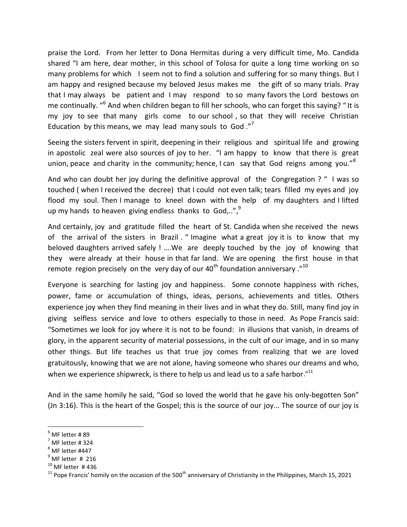praise the Lord. From her letter to Dona Hermitas during a very difficult time, Mo. Candida shared "I am here, dear mother, in this school of Tolosa for quite a long time working on so many problems for which I seem not to find a solution and suffering for so many things. But I am happy and resigned because my beloved Jesus makes me the gift of so many trials. Pray that I may always be patient and I may respond to so many favors the Lord bestows on me continually. "<sup>6</sup> And when children began to fill her schools, who can forget this saying? "It is my joy to see that many girls come to our school , so that they will receive Christian Education by this means, we may lead many souls to God." $7$ 

Seeing the sisters fervent in spirit, deepening in their religious and spiritual life and growing in apostolic zeal were also sources of joy to her. "I am happy to know that there is great union, peace and charity in the community; hence, I can say that God reigns among you."<sup>8</sup>

And who can doubt her joy during the definitive approval of the Congregation ? " I was so touched ( when I received the decree) that I could not even talk; tears filled my eyes and joy flood my soul. Then I manage to kneel down with the help of my daughters and I lifted up my hands to heaven giving endless thanks to God,..",<sup>9</sup>

And certainly, joy and gratitude filled the heart of St. Candida when she received the news of the arrival of the sisters in Brazil . " Imagine what a great joy it is to know that my beloved daughters arrived safely ! ….We are deeply touched by the joy of knowing that they were already at their house in that far land. We are opening the first house in that remote region precisely on the very day of our  $40^{th}$  foundation anniversary.<sup>"10</sup>

Everyone is searching for lasting joy and happiness. Some connote happiness with riches, power, fame or accumulation of things, ideas, persons, achievements and titles. Others experience joy when they find meaning in their lives and in what they do. Still, many find joy in giving selfless service and love to others especially to those in need. As Pope Francis said: "Sometimes we look for joy where it is not to be found: in illusions that vanish, in dreams of glory, in the apparent security of material possessions, in the cult of our image, and in so many other things. But life teaches us that true joy comes from realizing that we are loved gratuitously, knowing that we are not alone, having someone who shares our dreams and who, when we experience shipwreck, is there to help us and lead us to a safe harbor."<sup>11</sup>

And in the same homily he said, "God so loved the world that he gave his only-begotten Son" (Jn 3:16). This is the heart of the Gospel; this is the source of our joy... The source of our joy is

 $\overline{a}$ 

 $^6$  MF letter # 89  $^{\circ}$ 

 $<sup>7</sup>$  MF letter #324</sup>

 $8$  MF letter #447

 $<sup>9</sup>$  MF letter # 216</sup>

 $10$  MF letter #436

 $11$  Pope Francis' homily on the occasion of the 500<sup>th</sup> anniversary of Christianity in the Philippines, March 15, 2021